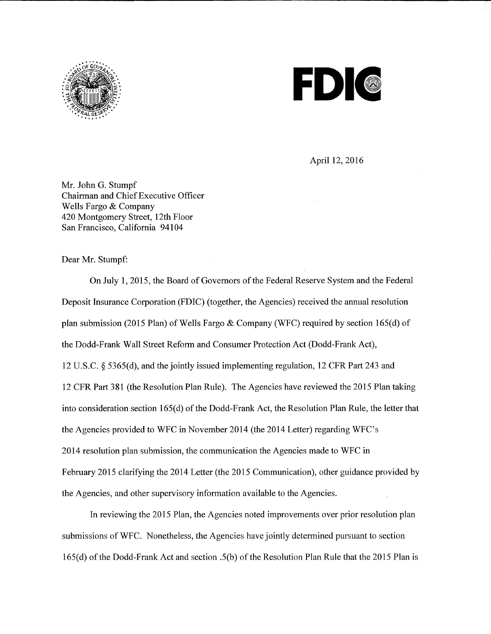



April 12, 2016

Mr. John G. Stumpf Chairman and Chief Executive Officer Wells Fargo & Company 420 Montgomery Street, 12th Floor San Francisco, California 94104

Dear Mr. Stumpf:

On July 1, 2015, the Board of Governors ofthe Federal Reserve System and the Federal Deposit Insurance Corporation (FDIC) (together, the Agencies) received the annual resolution plan submission (2015 Plan) of Wells Fargo & Company (WFC) required by section 165(d) of the Dodd-Frank Wall Street Reform and Consumer Protection Act (Dodd-Frank Act), 12 U.S.C. § 5365(d), and the jointly issued implementing regulation, 12 CFR Part 243 and 12 CFR Part 381 (the Resolution Plan Rule). The Agencies have reviewed the 2015 Plan taking into consideration section  $165(d)$  of the Dodd-Frank Act, the Resolution Plan Rule, the letter that the Agencies provided to WFC in November 2014 (the 2014 Letter) regarding WFC's 2014 resolution plan submission, the communication the Agencies made to WFC in February 2015 clarifying the 2014 Letter (the 2015 Communication), other guidance provided by the Agencies, and other supervisory information available to the Agencies.

In reviewing the 2015 Plan, the Agencies noted improvements over prior resolution plan submissions of WFC. Nonetheless, the Agencies have jointly determined pursuant to section 165(d) of the Dodd-Frank Act and section .5(b) of the Resolution Plan Rule that the 2015 Plan is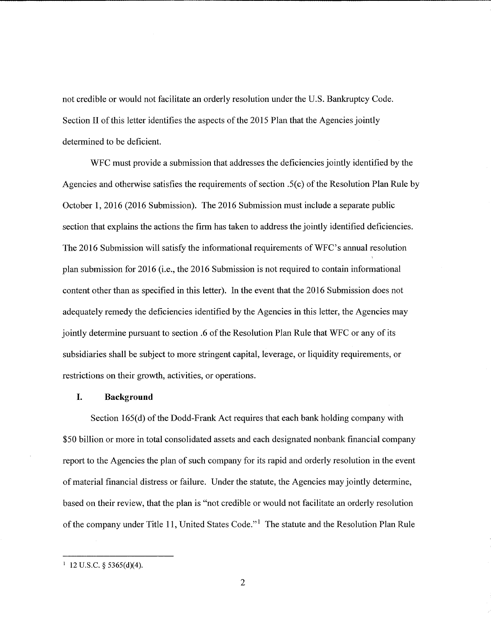not credible or would not facilitate an orderly resolution under the U.S. Bankruptcy Code. Section II of this letter identifies the aspects of the 2015 Plan that the Agencies jointly determined to be deficient.

WFC must provide a submission that addresses the deficiencies jointly identified by the Agencies and otherwise satisfies the requirements of section .5(c) of the Resolution Plan Rule by October 1, 2016 (2016 Submission). The 2016 Submission must include a separate public section that explains the actions the firm has taken to address the jointly identified deficiencies. The 2016 Submission will satisfy the informational requirements of WFC's annual resolution plan submission for 2016 (i.e., the 2016 Submission is not required to contain informational content other than as specified in this letter). In the event that the 2016 Submission does not adequately remedy the deficiencies identified by the Agencies in this letter, the Agencies may jointly determine pursuant to section .6 ofthe Resolution Plan Rule that WFC or any of its subsidiaries shall be subject to more stringent capital, leverage, or liquidity requirements, or restrictions on their growth, activities, or operations.

## **I. Background**

Section 165(d) of the Dodd-Frank Act requires that each bank holding company with \$50 billion or more in total consolidated assets and each designated nonbank financial company report to the Agencies the plan of such company for its rapid and orderly resolution in the event of material financial distress or failure. Under the statute, the Agencies may jointly determine, based on their review, that the plan is "not credible or would not facilitate an orderly resolution of the company under Title 11, United States Code."<sup>1</sup> The statute and the Resolution Plan Rule

<sup>&</sup>lt;sup>1</sup> 12 U.S.C. § 5365(d)(4).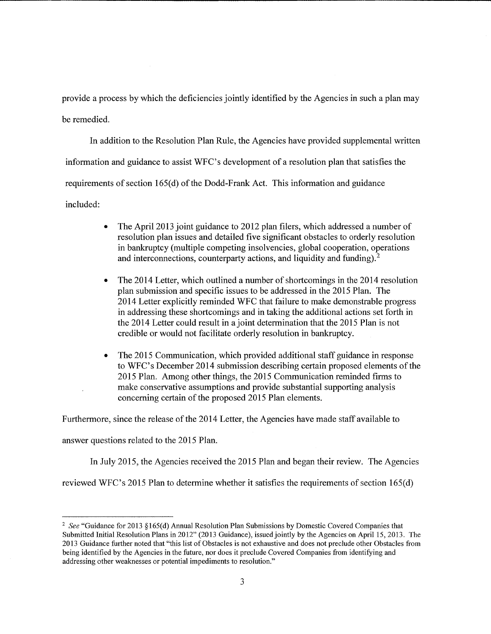provide a process by which the deficiencies jointly identified by the Agencies in such a plan may be remedied.

In addition to the Resolution Plan Rule, the Agencies have provided supplemental written information and guidance to assist WFC's development of a resolution plan that satisfies the requirements of section  $165(d)$  of the Dodd-Frank Act. This information and guidance included:

- The April 2013 joint guidance to 2012 plan filers, which addressed a number of resolution plan issues and detailed five significant obstacles to orderly resolution in bankruptcy (multiple competing insolvencies, global cooperation, operations and interconnections, counterparty actions, and liquidity and funding). $<sup>2</sup>$ </sup>
- The 2014 Letter, which outlined a number of shortcomings in the 2014 resolution plan submission and specific issues to be addressed in the 2015 Plan. The 2014 Letter explicitly reminded WFC that failure to make demonstrable progress in addressing these shortcomings and in taking the additional actions set forth in the 2014 Letter could result in a joint determination that the 2015 Plan is not credible or would not facilitate orderly resolution in bankruptcy.
- The 2015 Communication, which provided additional staff guidance in response to WFC's December 2014 submission describing certain proposed elements of the 2015 Plan. Among other things, the 2015 Communication reminded firms to make conservative assumptions and provide substantial supporting analysis concerning certain of the proposed 2015 Plan elements.

Furthermore, since the release of the 2014 Letter, the Agencies have made staff available to

answer questions related to the 2015 Plan.

In July 2015, the Agencies received the 2015 Plan and began their review. The Agencies

reviewed WFC's 2015 Plan to determine whether it satisfies the requirements of section 165(d)

<sup>&</sup>lt;sup>2</sup> See "Guidance for 2013 §165(d) Annual Resolution Plan Submissions by Domestic Covered Companies that Submitted Initial Resolution Plans in 2012" (2013 Guidance), issued jointly by the Agencies on April 15, 2013. The 2013 Guidance further noted that "this list of Obstacles is not exhaustive and does not preclude other Obstacles from being identified by the Agencies in the future, nor does it preclude Covered Companies from identifying and addressing other weaknesses or potential impediments to resolution."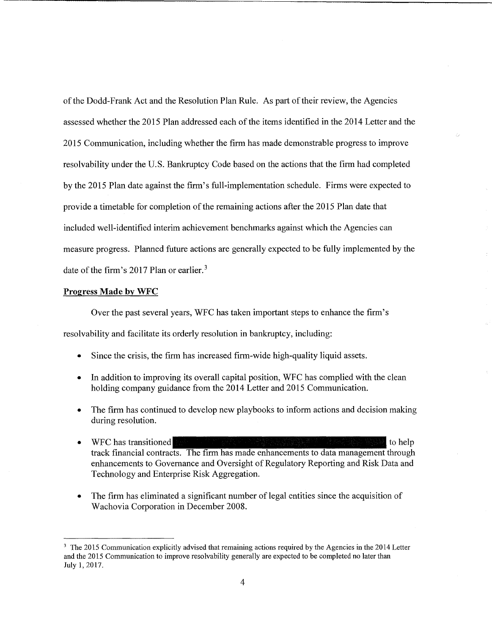ofthe Dodd-Frank Act and the Resolution Plan Rule. As part oftheir review, the Agencies assessed whether the 2015 Plan addressed each ofthe items identified in the 2014 Letter and the 2015 Communication, including whether the firm has made demonstrable progress to improve resolvability under the U.S. Bankruptcy Code based on the actions that the firm had completed by the 2015 Plan date against the firm's full-implementation schedule. Firms were expected to provide a timetable for completion of the remaining actions after the 2015 Plan date that included well-identified interim achievement benchmarks against which the Agencies can measure progress. Planned future actions are generally expected to be fully implemented by the date of the firm's 2017 Plan or earlier.<sup>3</sup>

#### **Progress Made by WFC**

Over the past several years, WFC has taken important steps to enhance the firm's

resolvability and facilitate its orderly resolution in bankruptcy, including:

- Since the crisis, the firm has increased firm-wide high-quality liquid assets.
- In addition to improving its overall capital position, WFC has complied with the clean holding company guidance from the 2014 Letter and 2015 Communication.
- The firm has continued to develop new playbooks to inform actions and decision making during resolution.
- **WFC has transitioned** the state of the state of the state of the state of the **help** track financial contracts. The firm has made enhancements to data management through enhancements to Governance and Oversight of Regulatory Reporting and Risk Data and Technology and Enterprise Risk Aggregation.
- The firm has eliminated a significant number of legal entities since the acquisition of Wachovia Corporation in December 2008.

<sup>&</sup>lt;sup>3</sup> The 2015 Communication explicitly advised that remaining actions required by the Agencies in the 2014 Letter and the 2015 Communication to improve resolvability generally are expected to be completed no later than July 1, 2017.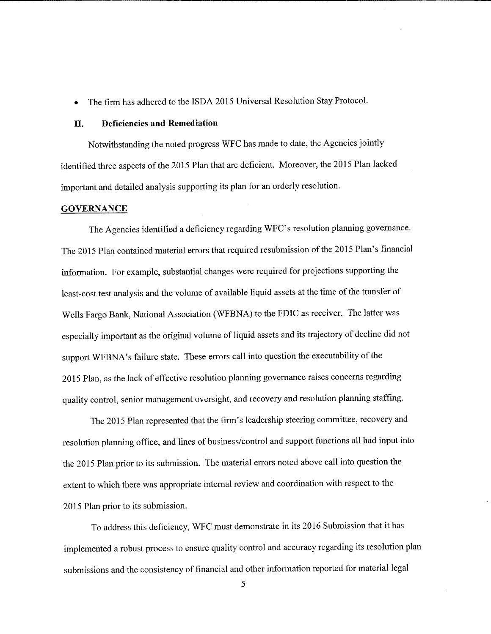The firm has adhered to the ISDA 2015 Universal Resolution Stay Protocol.

### **II. Deficiencies and Remediation**

Notwithstanding the noted progress WFC has made to date, the Agencies jointly identified three aspects of the 2015 Plan that are deficient. Moreover, the 2015 Plan lacked important and detailed analysis supporting its plan for an orderly resolution.

## **GOVERNANCE**

The Agencies identified a deficiency regarding WFC's resolution planning governance. The 2015 Plan contained material errors that required resubmission of the 2015 Plan's financial information. For example, substantial changes were required for projections supporting the least-cost test analysis and the volume of available liquid assets at the time of the transfer of Wells Fargo Bank, National Association (WFBNA) to the FDIC as receiver. The latter was especially important as the original volume of liquid assets and its trajectory of decline did not support WFBNA's failure state. These errors call into question the executability of the 2015 Plan, as the lack of effective resolution planning governance raises concerns regarding quality control, senior management oversight, and recovery and resolution planning staffing.

The 2015 Plan represented that the firm's leadership steering committee, recovery and resolution planning office, and lines of business/control and support functions all had input into the 2015 Plan prior to its submission. The material errors noted above call into question the extent to which there was appropriate internal review and coordination with respect to the 2015 Plan prior to its submission.

To address this deficiency, WFC must demonstrate in its 2016 Submission that it has implemented a robust process to ensure quality control and accuracy regarding its resolution plan submissions and the consistency of financial and other information reported for material legal

5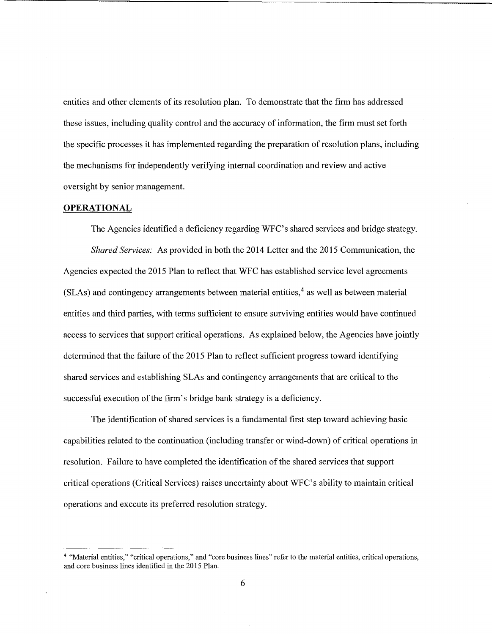entities and other elements of its resolution plan. To demonstrate that the firm has addressed these issues, including quality control and the accuracy of information, the firm must set forth the specific processes it has implemented regarding the preparation of resolution plans, including the mechanisms for independently verifying internal coordination and review and active oversight by senior management.

#### **OPERATIONAL**

The Agencies identified a deficiency regarding WFC's shared services and bridge strategy. *Shared Services:* As provided in both the 2014 Letter and the 2015 Communication, the Agencies expected the 2015 Plan to reflect that WFC has established service level agreements  $(SLAS)$  and contingency arrangements between material entities,<sup>4</sup> as well as between material entities and third parties, with terms sufficient to ensure surviving entities would have continued access to services that support critical operations. As explained below, the Agencies have jointly determined that the failure of the 2015 Plan to reflect sufficient progress toward identifying shared services and establishing SLAs and contingency arrangements that are critical to the successful execution of the firm's bridge bank strategy is a deficiency.

The identification of shared services is a fundamental first step toward achieving basic capabilities related to the continuation (including transfer or wind-down) of critical operations in resolution. Failure to have completed the identification of the shared services that support critical operations (Critical Services) raises uncertainty about WFC's ability to maintain critical operations and execute its preferred resolution strategy.

<sup>&</sup>lt;sup>4</sup> "Material entities," "critical operations," and "core business lines" refer to the material entities, critical operations, and core business lines identified in the 2015 Plan.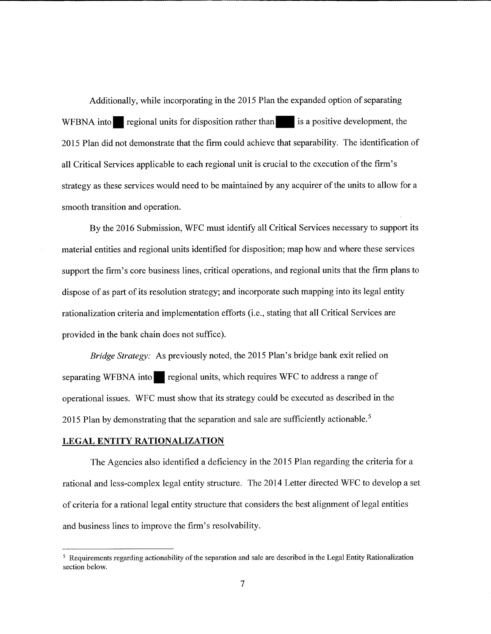Additionally, while incorporating in the 2015 Plan the expanded option of separating WFBNA into. regional units for disposition rather than. is a positive development, the 2015 Plan did not demonstrate that the firm could achieve that separability. The identification of all Critical Services applicable to each regional unit is crucial to the execution of the firm's strategy as these services would need to be maintained by any acquirer of the units to allow for a smooth transition and operation.

By the 2016 Submission, WFC must identify all Critical Services necessary to support its material entities and regional units identified for disposition; map how and where these services support the firm's core business lines, critical operations, and regional units that the firm plans to dispose of as part of its resolution strategy; and incorporate such mapping into its legal entity rationalization criteria and implementation efforts (i.e., stating that all Critical Services are provided in the bank chain does not suffice).

*Bridge Strategy:* As previously noted, the 2015 Plan's bridge bank exit relied on separating WFBNA into. regional units, which requires WFC to address a range of operational issues. WFC must show that its strategy could be executed as described in the 2015 Plan by demonstrating that the separation and sale are sufficiently actionable.<sup>5</sup>

### **LEGAL ENTITY RATIONALIZATION**

The Agencies also identified a deficiency in the 2015 Plan regarding the criteria for a rational and less-complex legal entity structure. The 2014 Letter directed WFC to develop a set of criteria for a rational legal entity structure that considers the best alignment of legal entities and business lines to improve the firm's resolvability.

<sup>&</sup>lt;sup>5</sup> Requirements regarding actionability of the separation and sale are described in the Legal Entity Rationalization section below.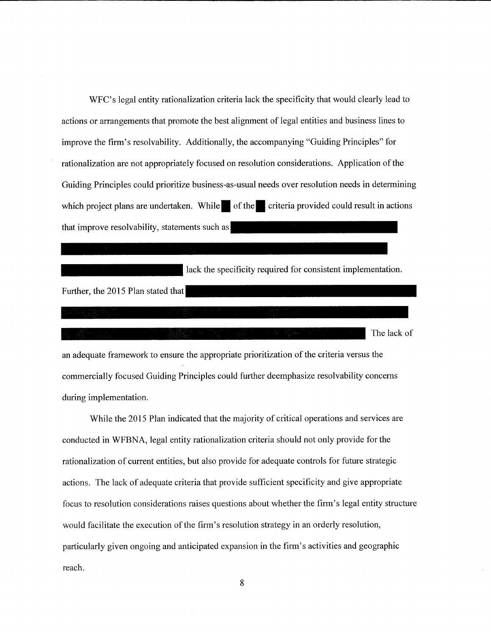WFC's legal entity rationalization criteria lack the specificity that would clearly lead to actions or arrangements that promote the best alignment of legal entities and business lines to improve the firm's resolvability. Additionally, the accompanying "Guiding Principles" for rationalization are not appropriately focused on resolution considerations. Application of the Guiding Principles could prioritize business-as-usual needs over resolution needs in determining which project plans are undertaken. While  $\blacksquare$  of the  $\blacksquare$  criteria provided could result in actions that improve resolvability, statements such as

lack the specificity required for consistent implementation. Further, the 2015 Plan stated that The lack of an adequate framework to ensure the appropriate prioritization of the criteria versus the

commercially focused Guiding Principles could further deemphasize resolvability concerns during implementation.

While the 2015 Plan indicated that the majority of critical operations and services are conducted in WFBNA, legal entity rationalization criteria should not only provide for the rationalization of current entities, but also provide for adequate controls for future strategic actions. The lack of adequate criteria that provide sufficient specificity and give appropriate focus to resolution considerations raises questions about whether the firm's legal entity structure would facilitate the execution of the firm's resolution strategy in an orderly resolution, particularly given ongoing and anticipated expansion in the firm's activities and geographic reach.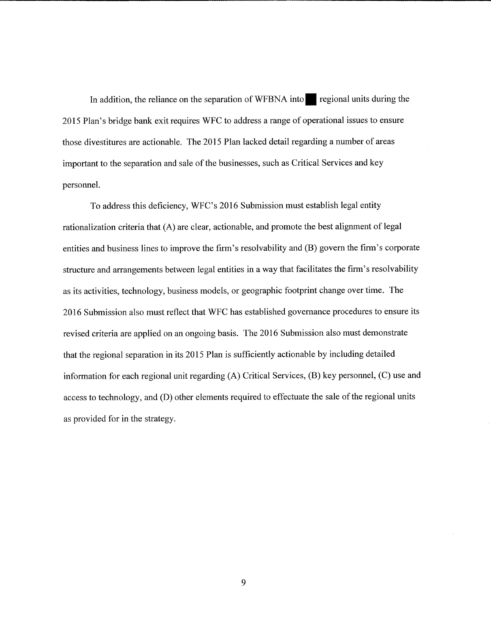In addition, the reliance on the separation of WFBNA into. regional units during the 2015 Plan's bridge bank exit requires WFC to address a range of operational issues to ensure those divestitures are actionable. The 2015 Plan lacked detail regarding a number of areas important to the separation and sale of the businesses, such as Critical Services and key personnel.

To address this deficiency, WFC's 2016 Submission must establish legal entity rationalization criteria that (A) are clear, actionable, and promote the best alignment of legal entities and business lines to improve the firm's resolvability and (B) govern the firm's corporate structure and arrangements between legal entities in a way that facilitates the firm's resolvability as its activities, technology, business models, or geographic footprint change over time. The 2016 Submission also must reflect that WFC has established governance procedures to ensure its revised criteria are applied on an ongoing basis. The 2016 Submission also must demonstrate that the regional separation in its 2015 Plan is sufficiently actionable by including detailed information for each regional unit regarding (A) Critical Services, (B) key personnel, (C) use and access to technology, and (D) other elements required to effectuate the sale of the regional units as provided for in the strategy.